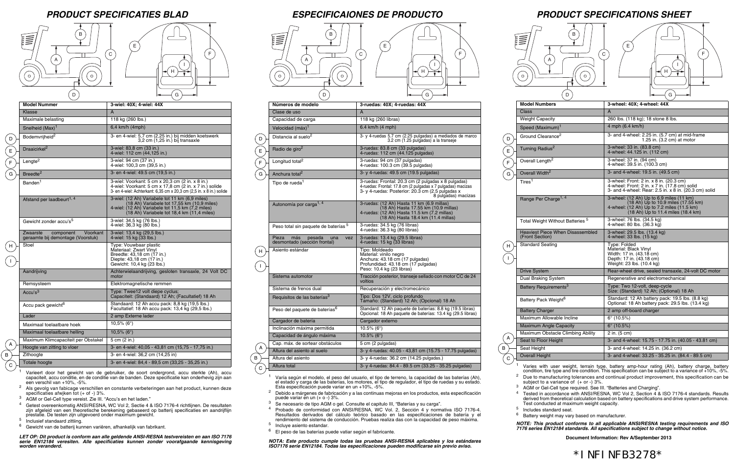

D



E





H

E



## *PRODUCT SPECIFICATIES BLAD ESPECIFICAIONES DE PRODUCTO PRODUCT SPECIFICATIONS SHEET*

## \*INFINFB3278\*

**Document Information: Rev A/September 2013**

| <b>Model Numbers</b>                                       | 3-wheel: 40X; 4-wheel: 44X                                                                                                                                          |
|------------------------------------------------------------|---------------------------------------------------------------------------------------------------------------------------------------------------------------------|
| <b>Class</b>                                               | A                                                                                                                                                                   |
| <b>Weight Capacity</b>                                     | 260 lbs. (118 kg); 18 stone 8 lbs.                                                                                                                                  |
| Speed (Maximum) <sup>1</sup>                               | 4 mph (6.4 km/h)                                                                                                                                                    |
| Ground Clearance <sup>2</sup>                              | 3- and 4-wheel: 2.25 in. (5.7 cm) at mid-frame<br>1.25 in. $(3.2 \text{ cm})$ at motor                                                                              |
| Turning Radius <sup>2</sup>                                | 3-wheel: 33 in. (83.8 cm)<br>4-wheel: 44.125 in. (112 cm)                                                                                                           |
| Overall Length <sup>2</sup>                                | 3-wheel: 37 in. (94 cm)<br>4-wheel: 39.5 in. (100.3 cm)                                                                                                             |
| Overall Width <sup>2</sup>                                 | 3- and 4-wheel: 19.5 in. (49.5 cm)                                                                                                                                  |
| Tires $^{\rm 1}$                                           | 3-wheel: Front: 2 in. x 8 in. (20.3 cm)<br>4-wheel: Front: 2 in. x 7 in. $(17.8 \text{ cm})$ solid<br>3- and 4-wheel: Rear: 2.5 in. x 8 in. (20.3 cm) solid         |
| Range Per Charge <sup>1, 4</sup>                           | 3-wheel: (12 Ah) Up to 6.9 miles (11 km)<br>(18 Ah) Up to 10.9 miles (17.55 km)<br>4-wheel: (12 Ah) Up to 7.2 miles (11.5 km)<br>(18 Ah) Up to 11.4 miles (18.4 km) |
| Total Weight Without Batteries <sup>5</sup>                | 3-wheel: 76 lbs. (34.5 kg)<br>4-wheel: 80 lbs. (36.3 kg)                                                                                                            |
| <b>Heaviest Piece When Disassembled</b><br>(Front Section) | 3-wheel: 29.5 lbs. (13.4 kg)<br>4-wheel: 33 lbs. (15 kg)                                                                                                            |
| <b>Standard Seating</b>                                    | Type: Folded<br>Material: Black Vinyl<br>Width: 17 in. (43.18 cm)<br>Depth: 17 in. (43.18 cm)<br>Weight: 23 lbs. (10.4 kg)                                          |
| Drive System                                               | Rear-wheel drive, sealed transaxle, 24-volt DC motor                                                                                                                |
| Dual Braking System                                        | Regenerative and electromechanical                                                                                                                                  |
| Battery Requirements <sup>3</sup>                          | Type: Two 12-volt, deep-cycle<br>Size: (Standard) 12 Ah; (Optional) 18 Ah                                                                                           |
| Battery Pack Weight <sup>6</sup>                           | Standard: 12 Ah battery pack: 19.5 lbs. (8.8 kg)<br>Optional: 18 Ah battery pack: 29.5 lbs. (13.4 kg)                                                               |
| <b>Battery Charger</b>                                     | 2 amp off-board charger                                                                                                                                             |
| Maximum Allowable Incline                                  | $6^{\circ}$ (10.5%)                                                                                                                                                 |
| <b>Maximum Angle Capacity</b>                              | $6^{\circ}$ (10.5%)                                                                                                                                                 |
| Maximum Obstacle Climbing Ability                          | 2 in. (5 cm)                                                                                                                                                        |
| Seat to Floor Height                                       | 3- and 4-wheel: 15.75 - 17.75 in. (40.05 - 43.81 cm)                                                                                                                |
| Seat Height                                                | 3- and 4-wheel: 14.25 in. (36.2 cm)                                                                                                                                 |
| <b>Overall Height</b>                                      | 3- and 4-wheel: 33.25 - 35.25 in. (84.4 - 89.5 cm)                                                                                                                  |

Varies with user weight, terrain type, battery amp-hour rating (Ah), battery charge, battery condition, tire type and tire condition. This specification can be subject to a variance of  $+10\%$ ,  $-5\%$ . <sup>2</sup> Due to manufacturing tolerances and continual product improvement, this specification can be subject to a variance of  $(+ or -)$  3%.

AGM or Gel-Cell type required. See III. "Batteries and Charging".

C B)

 $\overline{D}$  $E$  $\sqrt{F}$ G

Peso total sin paquete de baterías<sup>5</sup>

| $\checkmark$<br>D               | G                                                                                                                                                                                                |    |
|---------------------------------|--------------------------------------------------------------------------------------------------------------------------------------------------------------------------------------------------|----|
| Números de modelo               | 3-ruedas: 40X; 4-ruedas: 44X                                                                                                                                                                     |    |
| Clase de uso                    | A                                                                                                                                                                                                |    |
| Capacidad de carga              | 118 kg (260 libras)                                                                                                                                                                              |    |
| Velocidad $(m\acute{a}x)^1$     | 6.4 km/h $(4 \text{ mph})$                                                                                                                                                                       |    |
| Distancia al suelo <sup>2</sup> | 3- y 4-ruedas 5.7 cm (2.25 pulgadas) a mediados de marco<br>3.2 cm (1.25 pulgadas) a la transeje                                                                                                 | D  |
| Radio de giro <sup>2</sup>      | 3-ruedas: 83.8 cm (33 pulgadas)<br>4-ruedas: 112 cm (44.125 pulgadas)                                                                                                                            | E. |
| Longitud total <sup>2</sup>     | 3-ruedas: 94 cm (37 pulgadas)<br>4-ruedas: 100.3 cm (39.5 pulgadas)                                                                                                                              | F. |
| Anchura total <sup>2</sup>      | 3- y 4-ruedas: 49.5 cm (19.5 pulgadas)                                                                                                                                                           | G  |
| Tipo de rueda <sup>1</sup>      | 3-ruedas: Frontal: 20.3 cm (2 pulgadas x 8 pulgadas)<br>4-ruedas: Frontal: 17.8 cm (2 pulgadas x 7 pulgadas) macizas<br>3- y 4-ruedas: Posterior: 20.3 cm (2.5 pulgadas x<br>8 pulgadas) macizas |    |



| 3attery |
|---------|
| Maximun |

| .       |
|---------|
| Maxımur |

Maximun

Sistema automotor Tracción posterior, transeje sellado con motor CC de 24 voltios

Peso del paquete de baterías<sup>6</sup> Standard: 12 Ah paquete de baterías: 8.8 kg (19.5 libras)

<sup>4</sup> Tested in accordance with ANSI/RESNA, WC Vol 2, Section 4 & ISO 7176-4 standards. Results derived from theoretical calculation based on battery specifications and drive system performance. Test conducted at maximum weight capacity.

Varía según el modelo, el peso del usuario, el tipo de terreno, la capacidad de las baterías (Ah), el estado y carga de las baterías, los motores, el tipo de regulador, el tipo de ruedas y su estado.

 $2$  Debido a márgenes de fabricación y a las continuas mejoras en los productos, esta especificación

<sup>5</sup> Includes standard seat.

 $6$  Battery weight may vary based on manufacturer.

*NOTE: This product conforms to all applicable ANSI/RESNA testing requirements and ISO 7176 series EN12184 standards. All specifications subject to change without notice.*

A

- 
- 
- 
- 
- 
- 
- 
- 
- 

H

 $\mathbf{I}$ 

A

 $6$  Gewicht van de batterij kunnen variëren, afhankelijk van fabrikant.

 (18 Ah) Hasta 17.55 km (10.9 millas) 4-ruedas: (12 Ah) Hasta 11.5 km (7.2 millas) (18 Ah) Hasta 18.4 km (11.4 millas)

Pieza más pesada una vez desmontado (sección frontal)

Asiento estándar Tipo: Moldeado

Cargador de batería **Cargador externo** Inclinación máxima permitida 10.5% (6°) Capacidad de ángulo máxima | 10.5% (6°) Cap. máx. de sortear obstáculos | 5 cm (2 pulgadas)

3-ruedas: 13.4 kg (29.5 libras) 4-ruedas: 15 kg (33 libras)

Material: vinilo negro

Anchura: 43.18 cm (17 pulgadas) Profundidad: 43.18 cm (17 pulgadas)

| otal | W |
|------|---|

Peso: 10.4 kg (23 libras)

- $2$  Als gevolg van fabicage verschillen en constante verbeteringen aan het product, kunnen deze specificaties afwjken tot  $(+)$  3%.
- <sup>3</sup> AGM or Gel-Cell type vereist. Zie III. "Accu's en het laden."
- <sup>4</sup> Getest overeenkomstig ANSI/RESNA, WC Vol 2, Sectie 4 & ISO 7176-4 richtlijnen. De resultaten zijn afgeleid van een theoretische berekening gebaseerd op batterij specificaties en aandrijflijn prestatie. De testen zijn uitgevoerd onder maximum gewicht.
- <sup>5</sup> Inclusief standaard zittiing.

Opcional: 18 Ah paquete de baterías: 13.4 kg (29.5 libras)

3-ruedas: 34.5 kg (76 libras)<br>4-ruedas: 36.3 kg (80 libras)

Altura del asiento al suelo 3- y 4-ruedas: 40.05 - 43,81 cm (15.75 - 17.75 pulgadas)

Altura total 3- y 4-ruedas: 84.4 - 89.5 cm (33.25 - 35.25 pulgadas)

Esta especificación puede variar en un +10%, -5%.

puede variar en un (+ o -) 3%.

 $\degree$  C  $\degree$  $(B)$ 

| 3-wiel: 40X; 4-wiel: 44X                                                                                                                                                                          |
|---------------------------------------------------------------------------------------------------------------------------------------------------------------------------------------------------|
| A                                                                                                                                                                                                 |
| 118 kg (260 lbs.)                                                                                                                                                                                 |
| 6,4 km/h (4mph)                                                                                                                                                                                   |
| 3- en 4-wiel: 5,7 cm (2,25 in.) bij midden koetswerk<br>3,2 cm (1,25 in.) bij transaxle                                                                                                           |
| 3-wiel: 83,8 cm (33 in.)<br>4-wiel: 112 cm (44,125 in.)                                                                                                                                           |
| 3-wiel: 94 cm (37 in.)<br>4-wiel: 100,3 cm (39,5 in.)                                                                                                                                             |
| 3- en 4-wiel: 49.5 cm (19,5 in.)                                                                                                                                                                  |
| 3-wiel: Voorkant: 5 cm x 20,3 cm (2 in. x 8 in.)<br>4-wiel: Voorkant: 5 cm x 17,8 cm (2 in. x 7 in.) solide<br>3- en 4-wiel: Achterkant: 6,35 cm x 20,3 cm (2,5 in. x 8 in.) solide               |
| 3-wiel: (12 Ah) Variabele tot 11 km (6,9 miles)<br>(18 Ah) Variabele tot 17,55 km (10,9 miles)<br>4-wiel: (12 Ah) Variabele tot 11,5 km (7,2 miles)<br>(18 Ah) Variabele tot 18.4 km (11.4 miles) |
| 3-wiel: 34,5 kg (76 lbs.)<br>4-wiel: 36,3 kg (80 lbs.)                                                                                                                                            |
| Voorkant<br>3-wiel: 13,4 kg (29,5 lbs.)<br>4-wiel: 15 kg (33 lbs.)                                                                                                                                |
| Type: Vouwbaar plastic<br>Materiaal: Zwart Vinyl<br>Breedte: 43,18 cm (17 in.)<br>Diepte: 43,18 cm (17 in.)<br>Gewicht: 10,4 kg (23 lbs.)                                                         |
| Achterwielaandrijving, gesloten transaxle, 24 Volt DC<br>motor                                                                                                                                    |
| Elektromagnetische remmen                                                                                                                                                                         |
| Type: Twee12 volt diepe cyclus;<br>Capaciteit: (Standaard) 12 Ah; (Facultatief) 18 Ah                                                                                                             |
| Standaard: 12 Ah accu pack: 8,8 kg (19,5 lbs.)<br>Facultatief: 18 Ah accu pack: 13,4 kg (29,5 lbs.)                                                                                               |
| 2 amp Externe lader                                                                                                                                                                               |
| $10.5\%$ (6°)                                                                                                                                                                                     |
| $10,5\%$ (6°)                                                                                                                                                                                     |
| Maximum Klimcapaciteit per Obstakel<br>5 cm $(2 \text{ in.})$                                                                                                                                     |
| 3- en 4-wiel: 40,05 - 43,81 cm (15,75 - 17,75 in.)                                                                                                                                                |
| 3- en 4-wiel: 36,2 cm (14,25 in)                                                                                                                                                                  |
| 3- en 4-wiel: 84,4 - 89,5 cm (33,25 - 35,25 in.)                                                                                                                                                  |
|                                                                                                                                                                                                   |

<sup>3</sup> Se necesario de tipo AGM o gel. Consulte el capitulo III, "Baterías y su carga".

<sup>4</sup> Probado de conformidad con ANSI/RESNA, WC Vol. 2, Sección 4 y normativa ISO 7176-4. Resultados derivados del cálculo teórico basado en las especificaciones de batería y el rendimiento del sistema de conducción. Pruebas realiza das con la capacidad de peso máxima.

Requisitos de las baterías<sup>3</sup> | Tipo: Dos 12V, ciclo profundo<br>Tamaño: (Standard) 12 Ah; (Opcional) 18 Ah

Altura del asiento  $\begin{vmatrix} 3-y & 4-\text{ruedas: } 36.2 & \text{cm} & (14.25 & \text{pulgadas.}) \end{vmatrix}$ 

<sup>5</sup> Incluye asiento estandar. <sup>6</sup> El peso de las baterías puede vatiar según el fabricante.

*NOTA: Este producto cumple todas las pruebas ANSI-RESNA aplicables y los estándares ISO7176 serie EN12184. Todas las especificaciones pueden modificarse sin previo aviso.*

**Model N Class** 

 $\sim$ 

Overall L

<sup>1</sup> Varieert door het gewicht van de gebruiker, de soort ondergrond, accu sterkte (Ah), accu capaciteit, accu conditie, en de conditie van de banden. Deze specificatie kan onderhevig zijn aan een verschil van +10%, -5%.

*LET OP: Dit product is conform aan alle geldende ANSI-RESNA testvereisten en aan ISO 7176 serie EN12184 veresiten. Alle specificaties kunnen zonder voorafgaande kennisgeving worden veranderd.*

Autonomía por carga<sup>1, 4</sup> 3-ruedas: (12 Ah) Hasta 11 km (6.9 millas)

Sistema de frenos dual Recuperación y electromecánico